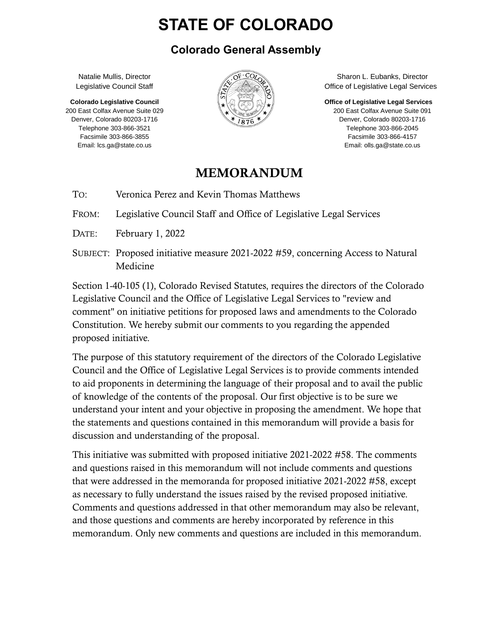# **STATE OF COLORADO**

#### **Colorado General Assembly**

Natalie Mullis, Director Legislative Council Staff

**Colorado Legislative Council** 200 East Colfax Avenue Suite 029 Denver, Colorado 80203-1716 Telephone 303-866-3521 Facsimile 303-866-3855 Email: lcs.ga@state.co.us



Sharon L. Eubanks, Director Office of Legislative Legal Services

**Office of Legislative Legal Services** 200 East Colfax Avenue Suite 091

Denver, Colorado 80203-1716 Telephone 303-866-2045 Facsimile 303-866-4157 Email: olls.ga@state.co.us

#### MEMORANDUM

TO: Veronica Perez and Kevin Thomas Matthews

FROM: Legislative Council Staff and Office of Legislative Legal Services

- DATE: February 1, 2022
- SUBJECT: Proposed initiative measure 2021-2022 #59, concerning Access to Natural Medicine

Section 1-40-105 (1), Colorado Revised Statutes, requires the directors of the Colorado Legislative Council and the Office of Legislative Legal Services to "review and comment" on initiative petitions for proposed laws and amendments to the Colorado Constitution. We hereby submit our comments to you regarding the appended proposed initiative.

The purpose of this statutory requirement of the directors of the Colorado Legislative Council and the Office of Legislative Legal Services is to provide comments intended to aid proponents in determining the language of their proposal and to avail the public of knowledge of the contents of the proposal. Our first objective is to be sure we understand your intent and your objective in proposing the amendment. We hope that the statements and questions contained in this memorandum will provide a basis for discussion and understanding of the proposal.

This initiative was submitted with proposed initiative 2021-2022 #58. The comments and questions raised in this memorandum will not include comments and questions that were addressed in the memoranda for proposed initiative 2021-2022 #58, except as necessary to fully understand the issues raised by the revised proposed initiative. Comments and questions addressed in that other memorandum may also be relevant, and those questions and comments are hereby incorporated by reference in this memorandum. Only new comments and questions are included in this memorandum.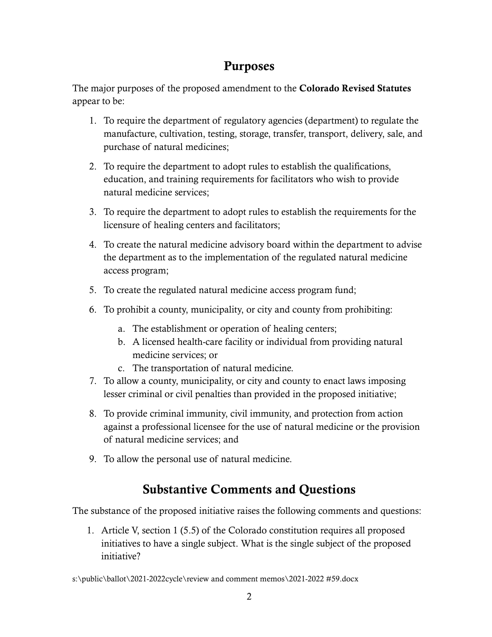## Purposes

The major purposes of the proposed amendment to the Colorado Revised Statutes appear to be:

- 1. To require the department of regulatory agencies (department) to regulate the manufacture, cultivation, testing, storage, transfer, transport, delivery, sale, and purchase of natural medicines;
- 2. To require the department to adopt rules to establish the qualifications, education, and training requirements for facilitators who wish to provide natural medicine services;
- 3. To require the department to adopt rules to establish the requirements for the licensure of healing centers and facilitators;
- 4. To create the natural medicine advisory board within the department to advise the department as to the implementation of the regulated natural medicine access program;
- 5. To create the regulated natural medicine access program fund;
- 6. To prohibit a county, municipality, or city and county from prohibiting:
	- a. The establishment or operation of healing centers;
	- b. A licensed health-care facility or individual from providing natural medicine services; or
	- c. The transportation of natural medicine.
- 7. To allow a county, municipality, or city and county to enact laws imposing lesser criminal or civil penalties than provided in the proposed initiative;
- 8. To provide criminal immunity, civil immunity, and protection from action against a professional licensee for the use of natural medicine or the provision of natural medicine services; and
- 9. To allow the personal use of natural medicine.

## Substantive Comments and Questions

The substance of the proposed initiative raises the following comments and questions:

1. Article V, section 1 (5.5) of the Colorado constitution requires all proposed initiatives to have a single subject. What is the single subject of the proposed initiative?

s:\public\ballot\2021-2022cycle\review and comment memos\2021-2022 #59.docx